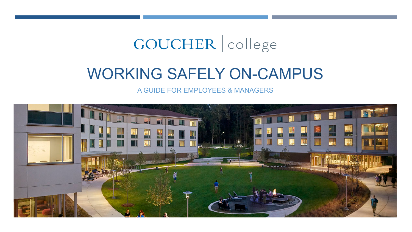# GOUCHER | college

## WORKING SAFELY ON-CAMPUS

A GUIDE FOR EMPLOYEES & MANAGERS

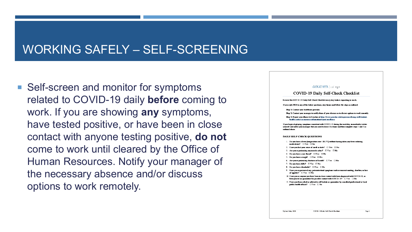## WORKING SAFELY – SELF-SCREENING

■ Self-screen and monitor for symptoms related to COVID-19 daily **before** coming to work. If you are showing **any** symptoms, have tested positive, or have been in close contact with anyone testing positive, **do not**  come to work until cleared by the Office of Human Resources. Notify your manager of the necessary absence and/or discuss options to work remotely.

#### GOUCHER college

#### **COVID-19 Daily Self-Check Checklist**

Resiew this COVID-19 Daily Self-Check Checklist every day before reporting to work.

If you reply YES to any of the below questions, stay home and follow the steps as outlined.

Step 1: Contact your healthcare provider

Step 2: Contact your manager to notify them of your absence or to discuss options to work remotely

Step 3: Report your illness to Goucher at https://www.goucher.edu/experience/tising-well/student health-center/curonavirus-information/report-an-illness

If you begin displaying symptoms consistent with COVID-19 during the workday, immediately isolate yourself and notify your in anager that you need to leave. Go hume and then complete steps 1 and 3 as .<br>ordined above.

#### **DAILY SELF-CHECK QUESTIONS**

- 1. Do you have a fever (temperature over 100.3°F) without having taken any fever reducing medications? II Yes II No
- 2. Have you lost your sense of smell or taste?  $\Box$  Yes  $\Box$  No
- 3. Are you experiencing any muscle aches?  $\Box$  Yes  $\Box$  No
- 4. Do you have a sure throat?  $\Box$  Yes  $\Box$  No
- 5. Do you have a cough? □ Yes □ No
- 6. Are vou experiencing shortness of breath?  $\Box$  Y es  $\Box$  No
- 7. Do you have chills?  $\Box$  Yes  $\Box$  No
- 8. Do you have a headache?  $\Box$  Yes  $\Box$  No
- 9. Have you experienced any gastrointestinal symptoms such as nausea/vomiting, diantiea, or loss of ametite? II Yes II No.
- 10. Have you or anyone you have been in close contact with been diagnosed with COVID-19, or been placed on quarantine for possible contact with  $\mathrm{COVID}\text{-}19? \overset{\sim}{\Box} \mathrm{Yes} \cdots \Box \mathrm{No}$

COVID-1913ally Self-Check-Checkfin

11. Have you been asked or advised to self-isolate or quarantine by a medical professional or local public bealth official? □ Yes □ No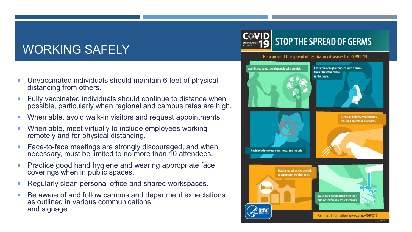## WORKING SAFELY

- Unvaccinated individuals should maintain 6 feet of physical distancing from others.
- Fully vaccinated individuals should continue to distance when possible, particularly when regional and campus rates are high.
- When able, avoid walk-in visitors and request appointments.
- When able, meet virtually to include employees working remotely and for physical distancing.
- Face-to-face meetings are strongly discouraged, and when necessary, must be limited to no more than 10 attendees.
- Practice good hand hygiene and wearing appropriate face coverings when in public spaces.
- Regularly clean personal office and shared workspaces.
- Be aware of and follow campus and department expectations as outlined in various communications and signage.



#### Help prevent the spread of respiratory diseases like COVID-19.

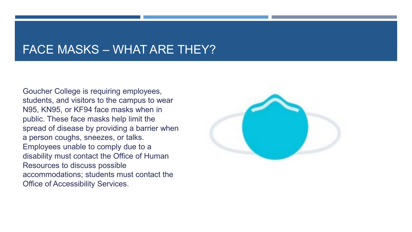#### FACE MASKS – WHAT ARE THEY?

Goucher College is requiring employees, students, and visitors to the campus to wear N95, KN95, or KF94 face masks when in public. These face masks help limit the spread of disease by providing a barrier when a person coughs, sneezes, or talks. Employees unable to comply due to a disability must contact the Office of Human Resources to discuss possible accommodations; students must contact the Office of Accessibility Services.

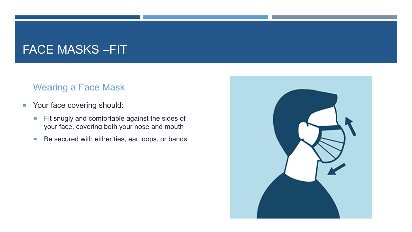## FACE MASKS –FIT

#### Wearing a Face Mask

- **Your face covering should:** 
	- Fit snugly and comfortable against the sides of your face, covering both your nose and mouth
	- Be secured with either ties, ear loops, or bands

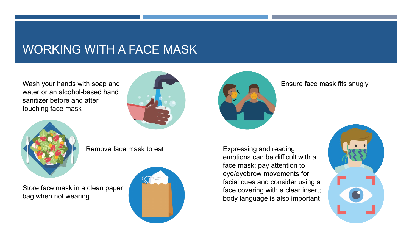## WORKING WITH A FACE MASK

Wash your hands with soap and water or an alcohol-based hand sanitizer before and after touching face mask





Remove face mask to eat

Store face mask in a clean paper bag when not wearing





Ensure face mask fits snugly

Expressing and reading emotions can be difficult with a face mask; pay attention to eye/eyebrow movements for facial cues and consider using a face covering with a clear insert; body language is also important

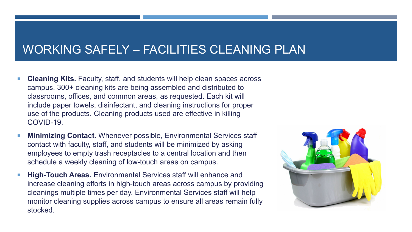#### WORKING SAFELY – FACILITIES CLEANING PLAN

- **Cleaning Kits.** Faculty, staff, and students will help clean spaces across campus. 300+ cleaning kits are being assembled and distributed to classrooms, offices, and common areas, as requested. Each kit will include paper towels, disinfectant, and cleaning instructions for proper use of the products. Cleaning products used are effective in killing COVID-19.
- **Minimizing Contact.** Whenever possible, Environmental Services staff contact with faculty, staff, and students will be minimized by asking employees to empty trash receptacles to a central location and then schedule a weekly cleaning of low-touch areas on campus.
- **High-Touch Areas.** Environmental Services staff will enhance and increase cleaning efforts in high-touch areas across campus by providing cleanings multiple times per day. Environmental Services staff will help monitor cleaning supplies across campus to ensure all areas remain fully stocked.

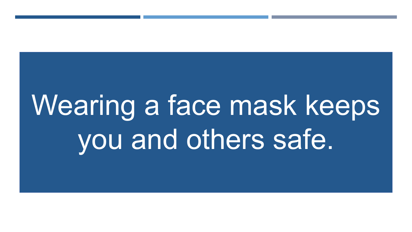# Wearing a face mask keeps you and others safe.